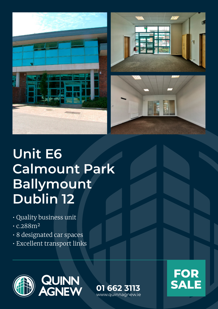





# **Unit E6 Calmount Park Ballymount Dublin 12**

- Quality business unit
- c.288m²
- 8 designated car spaces
- Excellent transport links



**FOR 01 662 3113 SALE**

www.quinnagnew.ie